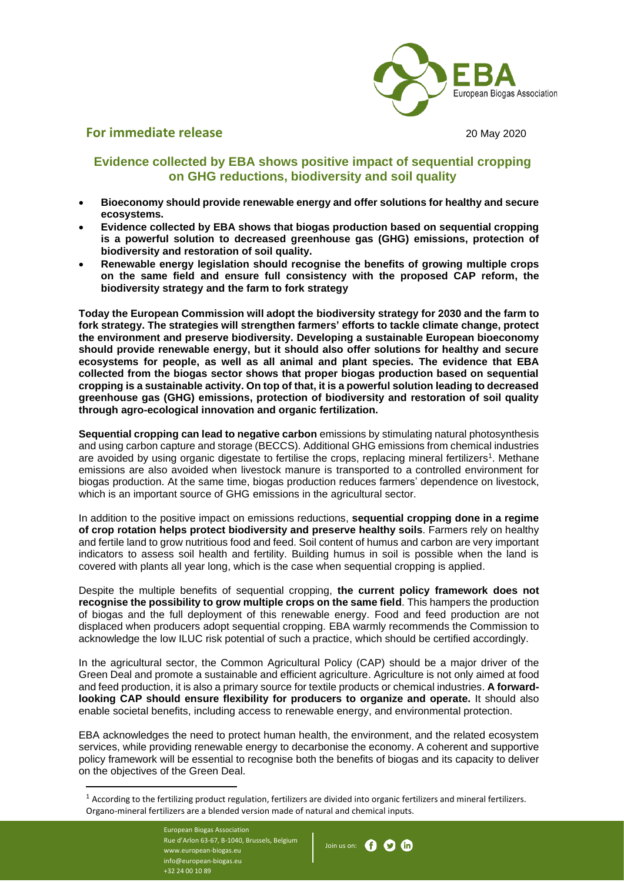

# **For immediate release** 20 May 2020

## **Evidence collected by EBA shows positive impact of sequential cropping on GHG reductions, biodiversity and soil quality**

- **Bioeconomy should provide renewable energy and offer solutions for healthy and secure ecosystems.**
- **Evidence collected by EBA shows that biogas production based on sequential cropping is a powerful solution to decreased greenhouse gas (GHG) emissions, protection of biodiversity and restoration of soil quality.**
- **Renewable energy legislation should recognise the benefits of growing multiple crops on the same field and ensure full consistency with the proposed CAP reform, the biodiversity strategy and the farm to fork strategy**

**Today the European Commission will adopt the biodiversity strategy for 2030 and the farm to fork strategy. The strategies will strengthen farmers' efforts to tackle climate change, protect the environment and preserve biodiversity. Developing a sustainable European bioeconomy should provide renewable energy, but it should also offer solutions for healthy and secure ecosystems for people, as well as all animal and plant species. The evidence that EBA collected from the biogas sector shows that proper biogas production based on sequential cropping is a sustainable activity. On top of that, it is a powerful solution leading to decreased greenhouse gas (GHG) emissions, protection of biodiversity and restoration of soil quality through agro-ecological innovation and organic fertilization.**

**Sequential cropping can lead to negative carbon** emissions by stimulating natural photosynthesis and using carbon capture and storage (BECCS). Additional GHG emissions from chemical industries are avoided by using organic digestate to fertilise the crops, replacing mineral fertilizers<sup>1</sup>. Methane emissions are also avoided when livestock manure is transported to a controlled environment for biogas production. At the same time, biogas production reduces farmers' dependence on livestock, which is an important source of GHG emissions in the agricultural sector.

In addition to the positive impact on emissions reductions, **sequential cropping done in a regime of crop rotation helps protect biodiversity and preserve healthy soils**. Farmers rely on healthy and fertile land to grow nutritious food and feed. Soil content of humus and carbon are very important indicators to assess soil health and fertility. Building humus in soil is possible when the land is covered with plants all year long, which is the case when sequential cropping is applied.

Despite the multiple benefits of sequential cropping, **the current policy framework does not recognise the possibility to grow multiple crops on the same field**. This hampers the production of biogas and the full deployment of this renewable energy. Food and feed production are not displaced when producers adopt sequential cropping. EBA warmly recommends the Commission to acknowledge the low ILUC risk potential of such a practice, which should be certified accordingly.

In the agricultural sector, the Common Agricultural Policy (CAP) should be a major driver of the Green Deal and promote a sustainable and efficient agriculture. Agriculture is not only aimed at food and feed production, it is also a primary source for textile products or chemical industries. **A forwardlooking CAP should ensure flexibility for producers to organize and operate.** It should also enable societal benefits, including access to renewable energy, and environmental protection.

EBA acknowledges the need to protect human health, the environment, and the related ecosystem services, while providing renewable energy to decarbonise the economy. A coherent and supportive policy framework will be essential to recognise both the benefits of biogas and its capacity to deliver on the objectives of the Green Deal.

 $1$  According to the fertilizing product regulation, fertilizers are divided into organic fertilizers and mineral fertilizers. Organo-mineral fertilizers are a blended version made of natural and chemical inputs.